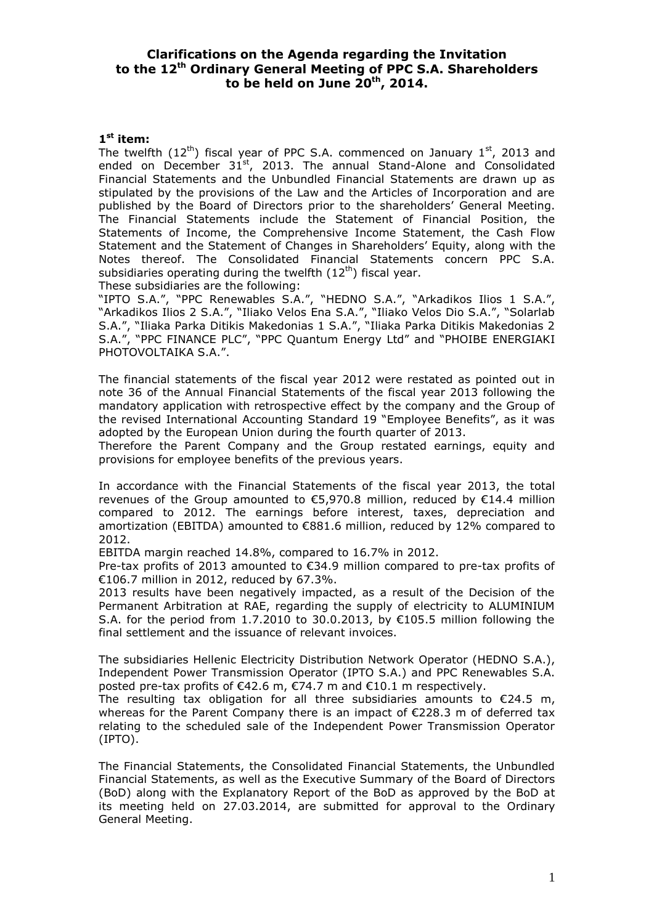# **Clarifications on the Agenda regarding the Invitation to the 12 th Ordinary General Meeting of PPC S.A. Shareholders**   $\mathbf{t}$ o be held on June 20<sup>th</sup>, 2014.

### **1 st item:**

The twelfth  $(12^{th})$  fiscal year of PPC S.A. commenced on January  $1^{st}$ , 2013 and ended on December  $31^{st}$ , 2013. The annual Stand-Alone and Consolidated Financial Statements and the Unbundled Financial Statements are drawn up as stipulated by the provisions of the Law and the Articles of Incorporation and are published by the Board of Directors prior to the shareholders' General Meeting. The Financial Statements include the Statement of Financial Position, the Statements of Income, the Comprehensive Income Statement, the Cash Flow Statement and the Statement of Changes in Shareholders' Equity, along with the Notes thereof. The Consolidated Financial Statements concern PPC S.A. subsidiaries operating during the twelfth  $(12<sup>th</sup>)$  fiscal year.

These subsidiaries are the following:

"IPTO S.A.", "PPC Renewables S.A.", "HEDNO S.A.", "Arkadikos Ilios 1 S.A.", "Arkadikos Ilios 2 S.A.", "Iliako Velos Ena S.A.", "Iliako Velos Dio S.A.", "Solarlab S.A.", "Iliaka Parka Ditikis Makedonias 1 S.A.", "Iliaka Parka Ditikis Makedonias 2 S.A.", "PPC FINANCE PLC", "PPC Quantum Energy Ltd" and "PHOIBE ENERGIAKI PHOTOVOLTAIKA S.A.".

The financial statements of the fiscal year 2012 were restated as pointed out in note 36 of the Annual Financial Statements of the fiscal year 2013 following the mandatory application with retrospective effect by the company and the Group of the revised International Accounting Standard 19 "Employee Benefits", as it was adopted by the European Union during the fourth quarter of 2013.

Therefore the Parent Company and the Group restated earnings, equity and provisions for employee benefits of the previous years.

In accordance with the Financial Statements of the fiscal year 2013, the total revenues of the Group amounted to €5,970.8 million, reduced by €14.4 million compared to 2012. The earnings before interest, taxes, depreciation and amortization (EBITDA) amounted to €881.6 million, reduced by 12% compared to 2012.

ΕΒΙΤDΑ margin reached 14.8%, compared to 16.7% in 2012.

Pre-tax profits of 2013 amounted to €34.9 million compared to pre-tax profits of €106.7 million in 2012, reduced by 67.3%.

2013 results have been negatively impacted, as a result of the Decision of the Permanent Arbitration at RAE, regarding the supply of electricity to ALUMINIUM S.A. for the period from 1.7.2010 to 30.0.2013, by €105.5 million following the final settlement and the issuance of relevant invoices.

The subsidiaries Hellenic Electricity Distribution Network Operator (HEDNO S.A.), Independent Power Transmission Operator (IPTO S.A.) and PPC Renewables S.A. posted pre-tax profits of  $\epsilon$ 42.6 m,  $\epsilon$ 74.7 m and  $\epsilon$ 10.1 m respectively.

The resulting tax obligation for all three subsidiaries amounts to  $E$ 24.5 m, whereas for the Parent Company there is an impact of €228.3 m of deferred tax relating to the scheduled sale of the Independent Power Transmission Operator (IPTO).

The Financial Statements, the Consolidated Financial Statements, the Unbundled Financial Statements, as well as the Executive Summary of the Board of Directors (BoD) along with the Explanatory Report of the BoD as approved by the BoD at its meeting held on 27.03.2014, are submitted for approval to the Ordinary General Meeting.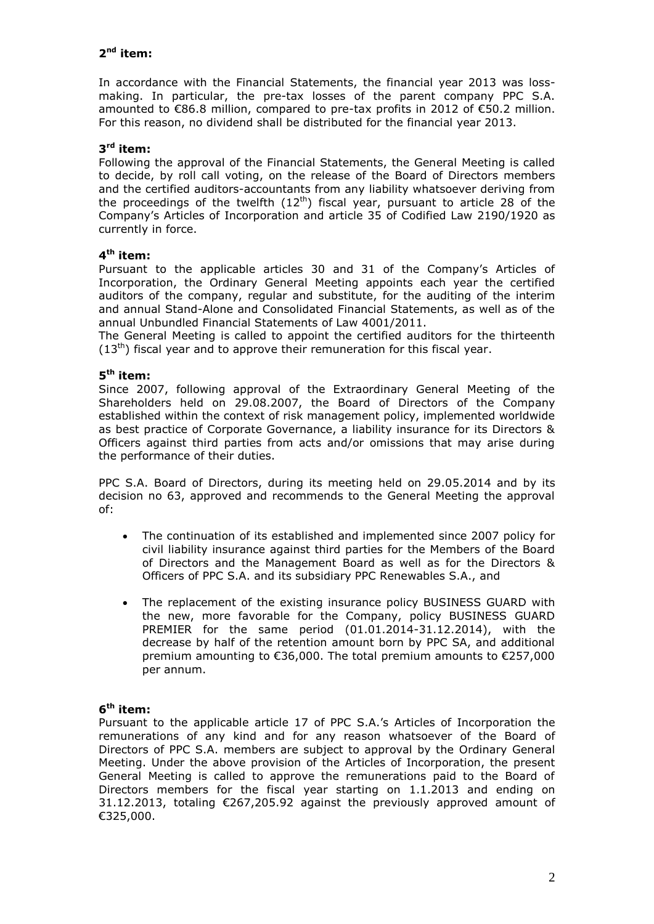# **2 nd item:**

In accordance with the Financial Statements, the financial year 2013 was lossmaking. In particular, the pre-tax losses of the parent company PPC S.A. amounted to €86.8 million, compared to pre-tax profits in 2012 of €50.2 million. For this reason, no dividend shall be distributed for the financial year 2013.

## **3 rd item:**

Following the approval of the Financial Statements, the General Meeting is called to decide, by roll call voting, on the release of the Board of Directors members and the certified auditors-accountants from any liability whatsoever deriving from the proceedings of the twelfth  $(12<sup>th</sup>)$  fiscal year, pursuant to article 28 of the Company's Articles of Incorporation and article 35 of Codified Law 2190/1920 as currently in force.

## **4 th item:**

Pursuant to the applicable articles 30 and 31 of the Company's Articles of Incorporation, the Ordinary General Meeting appoints each year the certified auditors of the company, regular and substitute, for the auditing of the interim and annual Stand-Alone and Consolidated Financial Statements, as well as of the annual Unbundled Financial Statements of Law 4001/2011.

The General Meeting is called to appoint the certified auditors for the thirteenth  $(13<sup>th</sup>)$  fiscal year and to approve their remuneration for this fiscal year.

## **5 th item:**

Since 2007, following approval of the Extraordinary General Meeting of the Shareholders held on 29.08.2007, the Board of Directors of the Company established within the context of risk management policy, implemented worldwide as best practice of Corporate Governance, a liability insurance for its Directors & Officers against third parties from acts and/or omissions that may arise during the performance of their duties.

PPC S.A. Board of Directors, during its meeting held on 29.05.2014 and by its decision no 63, approved and recommends to the General Meeting the approval of:

- The continuation of its established and implemented since 2007 policy for civil liability insurance against third parties for the Members of the Board of Directors and the Management Board as well as for the Directors & Officers of PPC S.A. and its subsidiary PPC Renewables S.A., and
- The replacement of the existing insurance policy BUSINESS GUARD with the new, more favorable for the Company, policy BUSINESS GUARD PREMIER for the same period (01.01.2014-31.12.2014), with the decrease by half of the retention amount born by PPC SA, and additional premium amounting to €36,000. The total premium amounts to €257,000 per annum.

## **6 th item:**

Pursuant to the applicable article 17 of PPC S.A.'s Articles of Incorporation the remunerations of any kind and for any reason whatsoever of the Board of Directors of PPC S.A. members are subject to approval by the Ordinary General Meeting. Under the above provision of the Articles of Incorporation, the present General Meeting is called to approve the remunerations paid to the Board of Directors members for the fiscal year starting on 1.1.2013 and ending on 31.12.2013, totaling €267,205.92 against the previously approved amount of €325,000.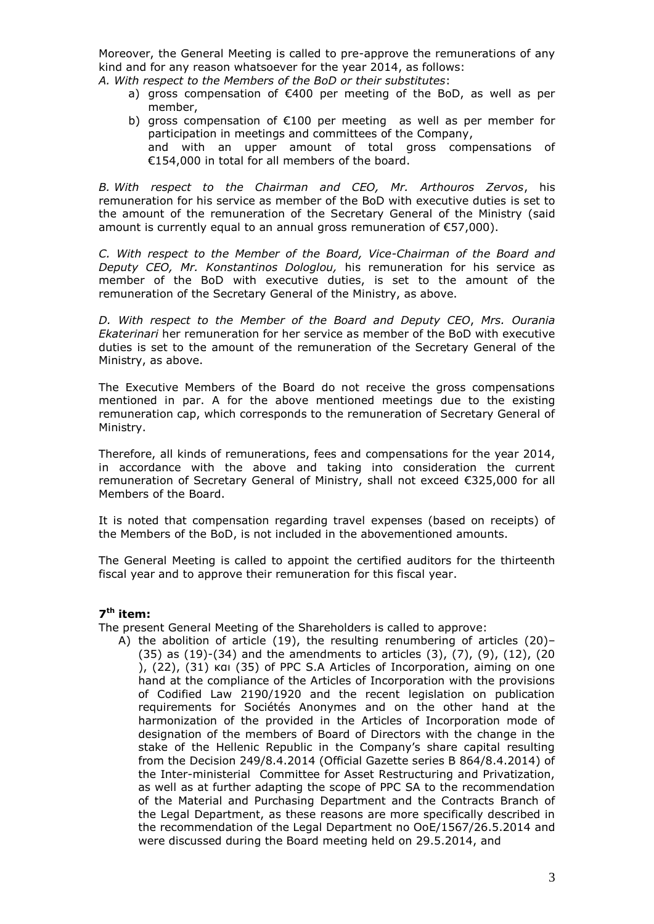Moreover, the General Meeting is called to pre-approve the remunerations of any kind and for any reason whatsoever for the year 2014, as follows:

*A. With respect to the Members of the BoD or their substitutes*:

- a) gross compensation of €400 per meeting of the BoD, as well as per member,
- b) gross compensation of €100 per meeting as well as per member for participation in meetings and committees of the Company, and with an upper amount of total gross compensations of €154,000 in total for all members of the board.

*B. With respect to the Chairman and CEO, Mr. Arthouros Zervos*, his remuneration for his service as member of the BoD with executive duties is set to the amount of the remuneration of the Secretary General of the Ministry (said amount is currently equal to an annual gross remuneration of  $E$ 57,000).

*C. With respect to the Member of the Board, Vice-Chairman of the Board and Deputy CEO, Mr. Konstantinos Dologlou,* his remuneration for his service as member of the BoD with executive duties, is set to the amount of the remuneration of the Secretary General of the Ministry, as above.

*D. With respect to the Μember of the Board and Deputy CEO*, *Mrs. Ourania Εkaterinari* her remuneration for her service as member of the BoD with executive duties is set to the amount of the remuneration of the Secretary General of the Ministry, as above.

The Executive Members of the Board do not receive the gross compensations mentioned in par. A for the above mentioned meetings due to the existing remuneration cap, which corresponds to the remuneration of Secretary General of Ministry.

Therefore, all kinds of remunerations, fees and compensations for the year 2014, in accordance with the above and taking into consideration the current remuneration of Secretary General of Ministry, shall not exceed €325,000 for all Members of the Board.

It is noted that compensation regarding travel expenses (based on receipts) of the Members of the BoD, is not included in the abovementioned amounts.

The General Meeting is called to appoint the certified auditors for the thirteenth fiscal year and to approve their remuneration for this fiscal year.

## **7 th item:**

The present General Meeting of the Shareholders is called to approve:

A) the abolition of article (19), the resulting renumbering of articles (20)– (35) as (19)-(34) and the amendments to articles (3), (7), (9), (12), (20 ), (22), (31) και (35) of PPC S.A Articles of Incorporation, aiming on one hand at the compliance of the Articles of Incorporation with the provisions of Codified Law 2190/1920 and the recent legislation on publication requirements for Sociétés Anonymes and on the other hand at the harmonization of the provided in the Articles of Incorporation mode of designation of the members of Board of Directors with the change in the stake of the Hellenic Republic in the Company's share capital resulting from the Decision 249/8.4.2014 (Official Gazette series B 864/8.4.2014) of the Inter-ministerial Committee for Asset Restructuring and Privatization, as well as at further adapting the scope of PPC SA to the recommendation of the Material and Purchasing Department and the Contracts Branch of the Legal Department, as these reasons are more specifically described in the recommendation of the Legal Department no OoE/1567/26.5.2014 and were discussed during the Board meeting held on 29.5.2014, and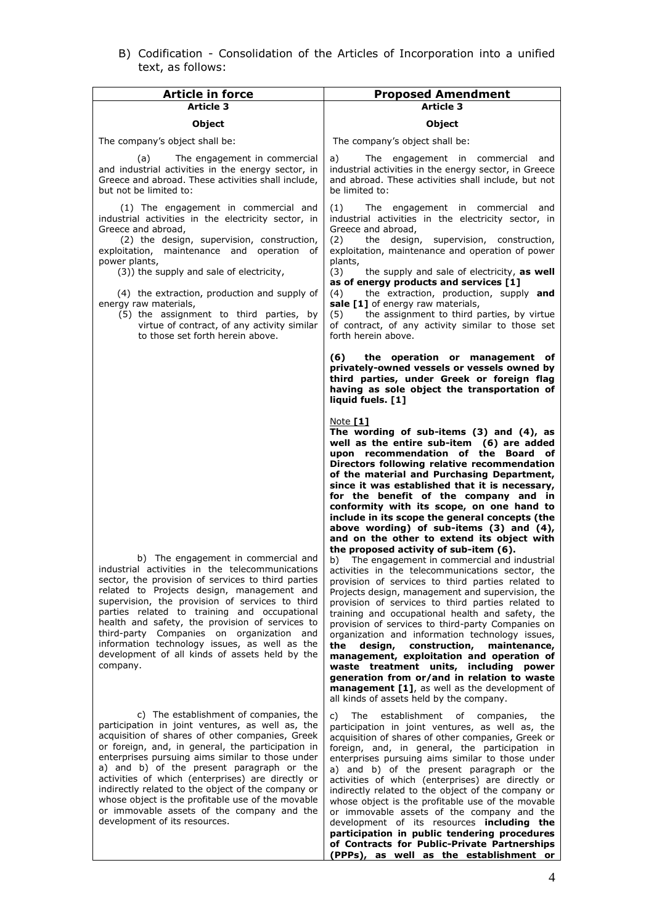B) Codification - Consolidation of the Articles of Incorporation into a unified text, as follows:

| <b>Article in force</b>                                                                                                                                                                                                                                                                                                                                                                                                                                                                                                                            | <b>Proposed Amendment</b>                                                                                                                                                                                                                                                                                                                                                                                                                                                                                                                                                                                                                                                                                                                                                                                                                                                                                                                                                                                                                                                                                                                                                                                                                                                                           |
|----------------------------------------------------------------------------------------------------------------------------------------------------------------------------------------------------------------------------------------------------------------------------------------------------------------------------------------------------------------------------------------------------------------------------------------------------------------------------------------------------------------------------------------------------|-----------------------------------------------------------------------------------------------------------------------------------------------------------------------------------------------------------------------------------------------------------------------------------------------------------------------------------------------------------------------------------------------------------------------------------------------------------------------------------------------------------------------------------------------------------------------------------------------------------------------------------------------------------------------------------------------------------------------------------------------------------------------------------------------------------------------------------------------------------------------------------------------------------------------------------------------------------------------------------------------------------------------------------------------------------------------------------------------------------------------------------------------------------------------------------------------------------------------------------------------------------------------------------------------------|
| Article 3                                                                                                                                                                                                                                                                                                                                                                                                                                                                                                                                          | <b>Article 3</b>                                                                                                                                                                                                                                                                                                                                                                                                                                                                                                                                                                                                                                                                                                                                                                                                                                                                                                                                                                                                                                                                                                                                                                                                                                                                                    |
| <b>Object</b>                                                                                                                                                                                                                                                                                                                                                                                                                                                                                                                                      | <b>Object</b>                                                                                                                                                                                                                                                                                                                                                                                                                                                                                                                                                                                                                                                                                                                                                                                                                                                                                                                                                                                                                                                                                                                                                                                                                                                                                       |
| The company's object shall be:                                                                                                                                                                                                                                                                                                                                                                                                                                                                                                                     | The company's object shall be:                                                                                                                                                                                                                                                                                                                                                                                                                                                                                                                                                                                                                                                                                                                                                                                                                                                                                                                                                                                                                                                                                                                                                                                                                                                                      |
| The engagement in commercial<br>(a)<br>and industrial activities in the energy sector, in<br>Greece and abroad. These activities shall include,<br>but not be limited to:                                                                                                                                                                                                                                                                                                                                                                          | a)<br>The engagement in commercial and<br>industrial activities in the energy sector, in Greece<br>and abroad. These activities shall include, but not<br>be limited to:                                                                                                                                                                                                                                                                                                                                                                                                                                                                                                                                                                                                                                                                                                                                                                                                                                                                                                                                                                                                                                                                                                                            |
| (1) The engagement in commercial and<br>industrial activities in the electricity sector, in<br>Greece and abroad,<br>(2) the design, supervision, construction,<br>exploitation, maintenance and operation of<br>power plants,<br>(3)) the supply and sale of electricity,<br>(4) the extraction, production and supply of<br>energy raw materials,<br>(5) the assignment to third parties, by<br>virtue of contract, of any activity similar<br>to those set forth herein above.                                                                  | (1)<br>The engagement in commercial and<br>industrial activities in the electricity sector, in<br>Greece and abroad,<br>the design, supervision, construction,<br>(2)<br>exploitation, maintenance and operation of power<br>plants,<br>(3)<br>the supply and sale of electricity, as well<br>as of energy products and services [1]<br>the extraction, production, supply and<br>(4)<br>sale [1] of energy raw materials,<br>the assignment to third parties, by virtue<br>(5)<br>of contract, of any activity similar to those set<br>forth herein above.                                                                                                                                                                                                                                                                                                                                                                                                                                                                                                                                                                                                                                                                                                                                         |
|                                                                                                                                                                                                                                                                                                                                                                                                                                                                                                                                                    | (6)<br>the operation or management of<br>privately-owned vessels or vessels owned by<br>third parties, under Greek or foreign flag<br>having as sole object the transportation of<br>liquid fuels. [1]                                                                                                                                                                                                                                                                                                                                                                                                                                                                                                                                                                                                                                                                                                                                                                                                                                                                                                                                                                                                                                                                                              |
| b) The engagement in commercial and<br>industrial activities in the telecommunications<br>sector, the provision of services to third parties<br>related to Projects design, management and<br>supervision, the provision of services to third<br>parties related to training and occupational<br>health and safety, the provision of services to<br>third-party Companies on organization and<br>information technology issues, as well as the<br>development of all kinds of assets held by the<br>company.                                       | Note $[1]$<br>The wording of sub-items $(3)$ and $(4)$ , as<br>well as the entire sub-item (6) are added<br>upon recommendation of the Board of<br>Directors following relative recommendation<br>of the material and Purchasing Department,<br>since it was established that it is necessary,<br>for the benefit of the company and in<br>conformity with its scope, on one hand to<br>include in its scope the general concepts (the<br>above wording) of sub-items (3) and (4),<br>and on the other to extend its object with<br>the proposed activity of sub-item (6).<br>b) The engagement in commercial and industrial<br>activities in the telecommunications sector, the<br>provision of services to third parties related to<br>Projects design, management and supervision, the<br>provision of services to third parties related to<br>training and occupational health and safety, the<br>provision of services to third-party Companies on<br>organization and information technology issues,<br>the<br>design,<br>construction,<br>maintenance,<br>management, exploitation and operation of<br>waste treatment units, including<br>power<br>generation from or/and in relation to waste<br>management [1], as well as the development of<br>all kinds of assets held by the company. |
| c) The establishment of companies, the<br>participation in joint ventures, as well as, the<br>acquisition of shares of other companies, Greek<br>or foreign, and, in general, the participation in<br>enterprises pursuing aims similar to those under<br>a) and b) of the present paragraph or the<br>activities of which (enterprises) are directly or<br>indirectly related to the object of the company or<br>whose object is the profitable use of the movable<br>or immovable assets of the company and the<br>development of its resources. | establishment of companies,<br>the<br>C)<br>The<br>participation in joint ventures, as well as, the<br>acquisition of shares of other companies, Greek or<br>foreign, and, in general, the participation in<br>enterprises pursuing aims similar to those under<br>a) and b) of the present paragraph or the<br>activities of which (enterprises) are directly or<br>indirectly related to the object of the company or<br>whose object is the profitable use of the movable<br>or immovable assets of the company and the<br>development of its resources including the                                                                                                                                                                                                                                                                                                                                                                                                                                                                                                                                                                                                                                                                                                                            |

**participation in public tendering procedures of Contracts for Public-Private Partnerships (PPPs), as well as the establishment or**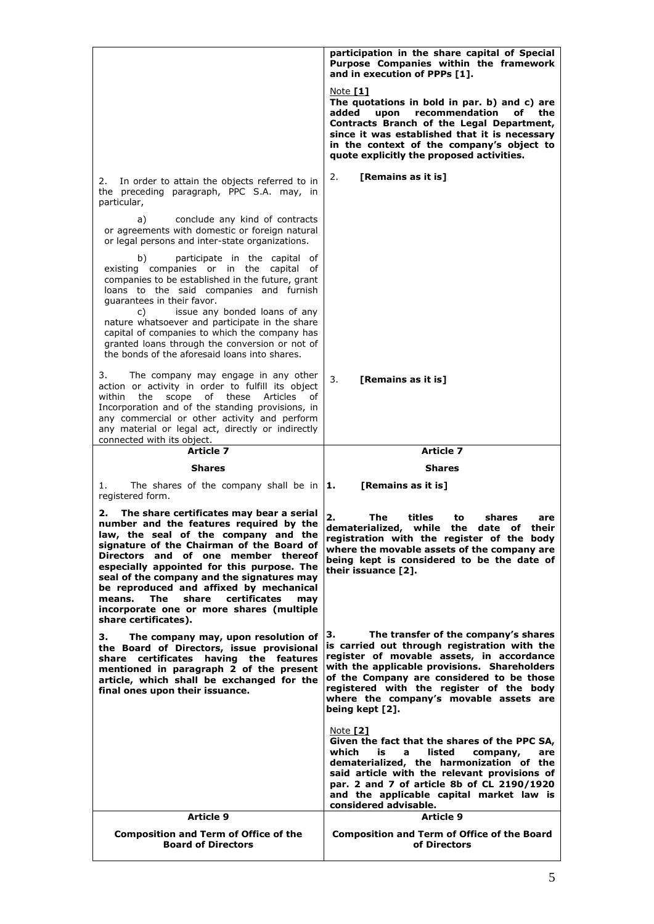|                                                                                                                                                                                                                                                                                                                                                                                                                                                                                          | participation in the share capital of Special<br>Purpose Companies within the framework<br>and in execution of PPPs [1].                                                                                                                                                                                                                      |
|------------------------------------------------------------------------------------------------------------------------------------------------------------------------------------------------------------------------------------------------------------------------------------------------------------------------------------------------------------------------------------------------------------------------------------------------------------------------------------------|-----------------------------------------------------------------------------------------------------------------------------------------------------------------------------------------------------------------------------------------------------------------------------------------------------------------------------------------------|
|                                                                                                                                                                                                                                                                                                                                                                                                                                                                                          | Note $[1]$<br>The quotations in bold in par. b) and c) are<br>added<br>upon<br>recommendation<br>of<br>the<br>Contracts Branch of the Legal Department,<br>since it was established that it is necessary<br>in the context of the company's object to<br>quote explicitly the proposed activities.                                            |
| In order to attain the objects referred to in<br>2.<br>the preceding paragraph, PPC S.A. may, in<br>particular,                                                                                                                                                                                                                                                                                                                                                                          | [Remains as it is]<br>2.                                                                                                                                                                                                                                                                                                                      |
| a)<br>conclude any kind of contracts<br>or agreements with domestic or foreign natural<br>or legal persons and inter-state organizations.                                                                                                                                                                                                                                                                                                                                                |                                                                                                                                                                                                                                                                                                                                               |
| b)<br>participate in the capital of<br>existing companies or in the capital<br>of<br>companies to be established in the future, grant<br>loans to the said companies and furnish<br>quarantees in their favor.                                                                                                                                                                                                                                                                           |                                                                                                                                                                                                                                                                                                                                               |
| issue any bonded loans of any<br>C)<br>nature whatsoever and participate in the share<br>capital of companies to which the company has<br>granted loans through the conversion or not of<br>the bonds of the aforesaid loans into shares.                                                                                                                                                                                                                                                |                                                                                                                                                                                                                                                                                                                                               |
| The company may engage in any other<br>3.<br>action or activity in order to fulfill its object<br>within<br>the<br>scope<br>of these Articles<br>of<br>Incorporation and of the standing provisions, in<br>any commercial or other activity and perform<br>any material or legal act, directly or indirectly<br>connected with its object.                                                                                                                                               | [Remains as it is]<br>3.                                                                                                                                                                                                                                                                                                                      |
| Article 7                                                                                                                                                                                                                                                                                                                                                                                                                                                                                | <b>Article 7</b>                                                                                                                                                                                                                                                                                                                              |
|                                                                                                                                                                                                                                                                                                                                                                                                                                                                                          |                                                                                                                                                                                                                                                                                                                                               |
| <b>Shares</b>                                                                                                                                                                                                                                                                                                                                                                                                                                                                            | <b>Shares</b>                                                                                                                                                                                                                                                                                                                                 |
| The shares of the company shall be in<br>1.<br>registered form.                                                                                                                                                                                                                                                                                                                                                                                                                          | [Remains as it is]<br>11.                                                                                                                                                                                                                                                                                                                     |
| The share certificates may bear a serial<br>2.<br>number and the features required by the<br>law, the seal of the company and the<br>signature of the Chairman of the Board of<br>Directors and of one member thereof<br>especially appointed for this purpose. The<br>seal of the company and the signatures may<br>be reproduced and affixed by mechanical<br><b>The</b><br>certificates<br>means.<br>share<br>may<br>incorporate one or more shares (multiple<br>share certificates). | 2.<br>The<br>titles<br>shares<br>to<br>are<br>dematerialized, while<br>the date of<br>their<br>registration with the register of the<br>body<br>where the movable assets of the company are<br>being kept is considered to be the date of<br>their issuance [2].                                                                              |
| з.<br>The company may, upon resolution of<br>the Board of Directors, issue provisional<br>share certificates having the features<br>mentioned in paragraph 2 of the present<br>article, which shall be exchanged for the<br>final ones upon their issuance.                                                                                                                                                                                                                              | The transfer of the company's shares<br>з.<br>is carried out through registration with the<br>register of movable assets, in accordance<br>with the applicable provisions. Shareholders<br>of the Company are considered to be those<br>registered with the register of the body<br>where the company's movable assets are<br>being kept [2]. |
|                                                                                                                                                                                                                                                                                                                                                                                                                                                                                          | Note [2]<br>Given the fact that the shares of the PPC SA,<br>listed<br>which<br>is<br>$\mathbf{a}$<br>company,<br>are<br>dematerialized, the harmonization of the<br>said article with the relevant provisions of<br>par. 2 and 7 of article 8b of CL 2190/1920<br>and the applicable capital market law is<br>considered advisable.          |
| Article 9                                                                                                                                                                                                                                                                                                                                                                                                                                                                                | <b>Article 9</b>                                                                                                                                                                                                                                                                                                                              |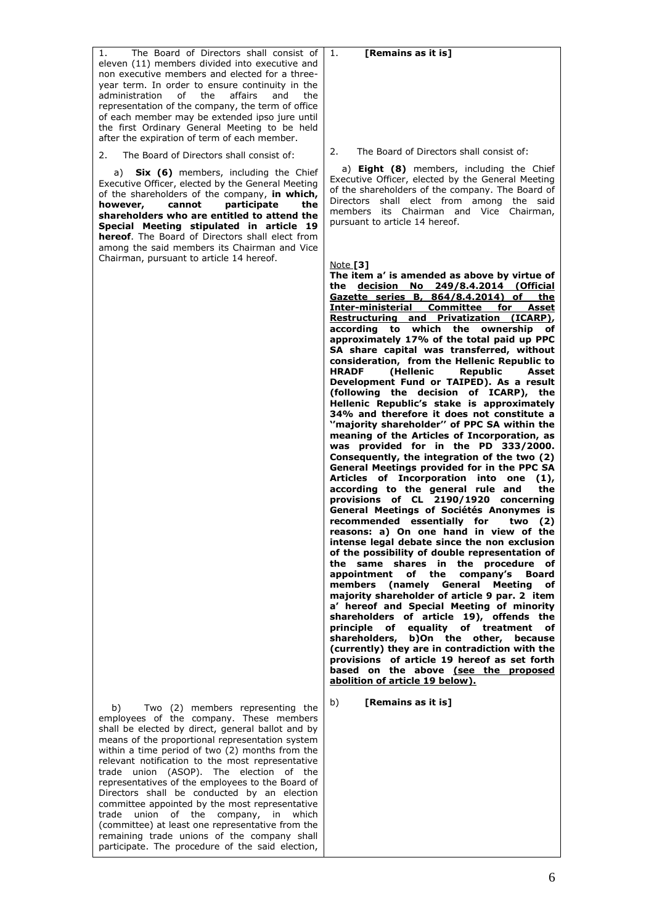#### The Board of Directors shall consist of eleven (11) members divided into executive and non executive members and elected for a threeyear term. In order to ensure continuity in the administration of the affairs and the representation of the company, the term of office of each member may be extended ipso jure until the first Ordinary General Meeting to be held after the expiration of term of each member.

2. The Board of Directors shall consist of:

 a) **Six (6)** members, including the Chief Executive Officer, elected by the General Meeting of the shareholders of the company, **in which, cannot** participate the **shareholders who are entitled to attend the Special Meeting stipulated in article 19 hereof**. The Board of Directors shall elect from among the said members its Chairman and Vice Chairman, pursuant to article 14 hereof.

b) b) Two (2) members representing the employees of the company. These members shall be elected by direct, general ballot and by means of the proportional representation system within a time period of two (2) months from the relevant notification to the most representative trade union (ΑSOP). The election of the representatives of the employees to the Board of Directors shall be conducted by an election committee appointed by the most representative trade union of the company, in which (committee) at least one representative from the remaining trade unions of the company shall participate. The procedure of the said election,

2. The Board of Directors shall consist of:

1. **[Remains as it is]**

 a) **Eight (8)** members, including the Chief Executive Officer, elected by the General Meeting of the shareholders of the company. The Board of Directors shall elect from among the said members its Chairman and Vice Chairman, pursuant to article 14 hereof.

#### Note **[3]**

**The item a' is amended as above by virtue of the decision No 249/8.4.2014 (Official Gazette series B, 864/8.4.2014) of the Inter-ministerial Committee for Asset Restructuring and Privatization (ICARP), according to which the ownership of approximately 17% of the total paid up PPC SA share capital was transferred, without consideration, from the Hellenic Republic to (Hellenic Republic Asset Development Fund or TAIPED). As a result (following the decision of ICARP), the Hellenic Republic's stake is approximately 34% and therefore it does not constitute a ''majority shareholder'' of PPC SA within the meaning of the Articles of Incorporation, as was provided for in the PD 333/2000. Consequently, the integration of the two (2) General Meetings provided for in the PPC SA Articles of Incorporation into one (1), according to the general rule and the provisions of CL 2190/1920 concerning General Meetings of Sociétés Anonymes is recommended essentially for two (2) reasons: a) On one hand in view of the intense legal debate since the non exclusion of the possibility of double representation of the same shares in the procedure of appointment of the company's Board members (namely General Meeting of majority shareholder of article 9 par. 2 item a' hereof and Special Meeting of minority shareholders of article 19), offends the principle of equality of treatment of shareholders, b)On the other, because (currently) they are in contradiction with the provisions of article 19 hereof as set forth based on the above (see the proposed abolition of article 19 below).**

b) **[Remains as it is]**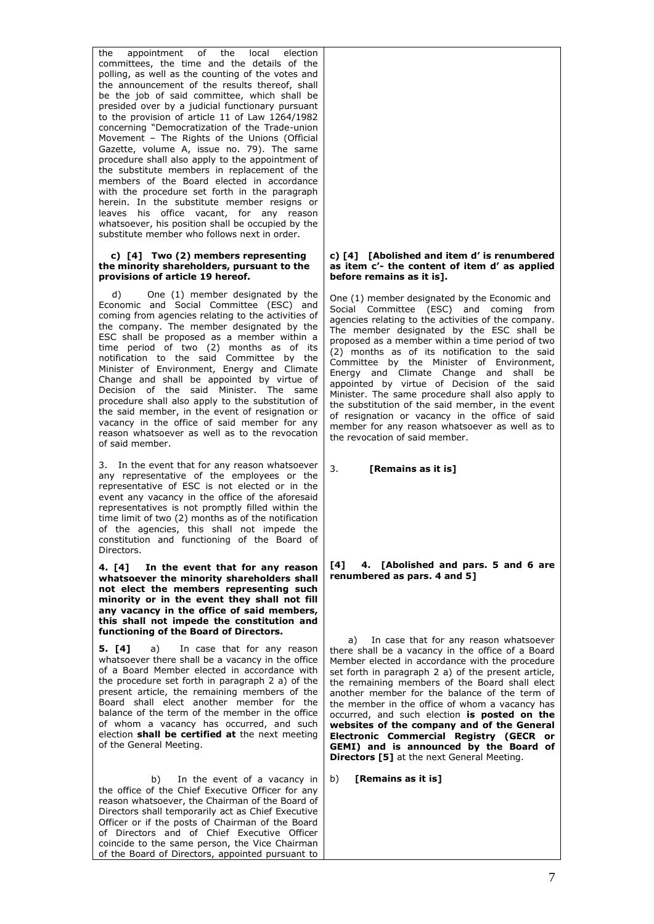the appointment of the local election committees, the time and the details of the polling, as well as the counting of the votes and the announcement of the results thereof, shall be the job of said committee, which shall be presided over by a judicial functionary pursuant to the provision of article 11 of Law 1264/1982 concerning "Democratization of the Trade-union Movement – The Rights of the Unions (Official Gazette, volume Α, issue no. 79). The same procedure shall also apply to the appointment of the substitute members in replacement of the members of the Board elected in accordance with the procedure set forth in the paragraph herein. In the substitute member resigns or leaves his office vacant, for any reason whatsoever, his position shall be occupied by the substitute member who follows next in order.

#### **c) [4] Two (2) members representing the minority shareholders, pursuant to the provisions of article 19 hereof.**

One (1) member designated by the Economic and Social Committee (ESC) and coming from agencies relating to the activities of the company. The member designated by the ESC shall be proposed as a member within a time period of two (2) months as of its notification to the said Committee by the Minister of Environment, Energy and Climate Change and shall be appointed by virtue of Decision of the said Minister. The same procedure shall also apply to the substitution of the said member, in the event of resignation or vacancy in the office of said member for any reason whatsoever as well as to the revocation of said member.

3. In the event that for any reason whatsoever any representative of the employees or the representative of ESC is not elected or in the event any vacancy in the office of the aforesaid representatives is not promptly filled within the time limit of two (2) months as of the notification of the agencies, this shall not impede the constitution and functioning of the Board of Directors.

**4. [4] In the event that for any reason whatsoever the minority shareholders shall not elect the members representing such minority or in the event they shall not fill any vacancy in the office of said members, this shall not impede the constitution and functioning of the Board of Directors.** 

**5. [4]** a) In case that for any reason whatsoever there shall be a vacancy in the office of a Board Member elected in accordance with the procedure set forth in paragraph 2 a) of the present article, the remaining members of the Board shall elect another member for the balance of the term of the member in the office of whom a vacancy has occurred, and such election **shall be certified at** the next meeting of the General Meeting.

 b) In the event of a vacancy in the office of the Chief Executive Officer for any reason whatsoever, the Chairman of the Board of Directors shall temporarily act as Chief Executive Officer or if the posts of Chairman of the Board of Directors and of Chief Executive Officer coincide to the same person, the Vice Chairman of the Board of Directors, appointed pursuant to

#### **c) [4] [Abolished and item d' is renumbered as item c'- the content of item d' as applied before remains as it is].**

One (1) member designated by the Economic and Social Committee (ESC) and coming from agencies relating to the activities of the company. The member designated by the ESC shall be proposed as a member within a time period of two  $(2)$  months as of its notification to the said Committee by the Minister of Environment, Energy and Climate Change and shall be appointed by virtue of Decision of the said Minister. The same procedure shall also apply to the substitution of the said member, in the event of resignation or vacancy in the office of said member for any reason whatsoever as well as to the revocation of said member.

3. **[Remains as it is]**

**[4] 4. [Abolished and pars. 5 and 6 are renumbered as pars. 4 and 5]**

 a) In case that for any reason whatsoever there shall be a vacancy in the office of a Board Member elected in accordance with the procedure set forth in paragraph 2 a) of the present article, the remaining members of the Board shall elect another member for the balance of the term of the member in the office of whom a vacancy has occurred, and such election **is posted on the websites of the company and of the General Electronic Commercial Registry (GECR or GEMI) and is announced by the Board of Directors [5]** at the next General Meeting.

b) **[Remains as it is]**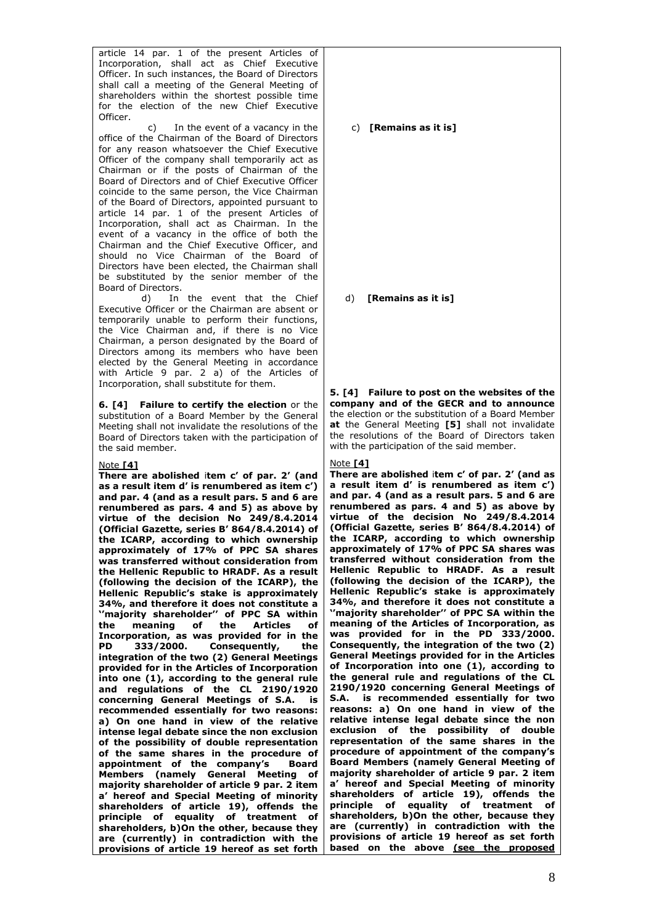article 14 par. 1 of the present Articles of Incorporation, shall act as Chief Executive Officer. In such instances, the Board of Directors shall call a meeting of the General Meeting of shareholders within the shortest possible time for the election of the new Chief Executive Officer.

 c) In the event of a vacancy in the office of the Chairman of the Board of Directors for any reason whatsoever the Chief Executive Officer of the company shall temporarily act as Chairman or if the posts of Chairman of the Board of Directors and of Chief Executive Officer coincide to the same person, the Vice Chairman of the Board of Directors, appointed pursuant to article 14 par. 1 of the present Articles of Incorporation, shall act as Chairman. In the event of a vacancy in the office of both the Chairman and the Chief Executive Officer, and should no Vice Chairman of the Board of Directors have been elected, the Chairman shall be substituted by the senior member of the Board of Directors.

 d) In the event that the Chief Executive Officer or the Chairman are absent or temporarily unable to perform their functions, the Vice Chairman and, if there is no Vice Chairman, a person designated by the Board of Directors among its members who have been elected by the General Meeting in accordance with Article 9 par. 2 a) of the Articles of Incorporation, shall substitute for them.

**6. [4]** Failure to certify the election or the substitution of a Board Member by the General Meeting shall not invalidate the resolutions of the Board of Directors taken with the participation of the said member.

### Note **[4]**

**There are abolished** i**tem c' of par. 2' (and as a result item d' is renumbered as item c') and par. 4 (and as a result pars. 5 and 6 are renumbered as pars. 4 and 5) as above by virtue of the decision No 249/8.4.2014 (Official Gazette, series B' 864/8.4.2014) of the ICARP, according to which ownership approximately of 17% of PPC SA shares was transferred without consideration from the Hellenic Republic to HRADF. As a result (following the decision of the ICARP), the Hellenic Republic's stake is approximately 34%, and therefore it does not constitute a ''majority shareholder'' of PPC SA within the meaning of the Articles of Incorporation, as was provided for in the PD 333/2000. Consequently, the integration of the two (2) General Meetings provided for in the Articles of Incorporation into one (1), according to the general rule and regulations of the CL 2190/1920 concerning General Meetings of S.A. is recommended essentially for two reasons: a) On one hand in view of the relative intense legal debate since the non exclusion of the possibility of double representation of the same shares in the procedure of appointment of the company's Board Members (namely General Meeting of majority shareholder of article 9 par. 2 item a' hereof and Special Meeting of minority shareholders of article 19), offends the principle of equality of treatment of shareholders, b)On the other, because they are (currently) in contradiction with the provisions of article 19 hereof as set forth** 

### c) **[Remains as it is]**

### d) **[Remains as it is]**

**5. [4] Failure to post on the websites of the company and of the GECR and to announce**  the election or the substitution of a Board Member **at** the General Meeting **[5]** shall not invalidate the resolutions of the Board of Directors taken with the participation of the said member.

#### Note **[4]**

**There are abolished** i**tem c' of par. 2' (and as a result item d' is renumbered as item c') and par. 4 (and as a result pars. 5 and 6 are renumbered as pars. 4 and 5) as above by virtue of the decision No 249/8.4.2014 (Official Gazette, series B' 864/8.4.2014) of the ICARP, according to which ownership approximately of 17% of PPC SA shares was transferred without consideration from the Hellenic Republic to HRADF. As a result (following the decision of the ICARP), the Hellenic Republic's stake is approximately 34%, and therefore it does not constitute a ''majority shareholder'' of PPC SA within the meaning of the Articles of Incorporation, as was provided for in the PD 333/2000. Consequently, the integration of the two (2) General Meetings provided for in the Articles of Incorporation into one (1), according to the general rule and regulations of the CL 2190/1920 concerning General Meetings of S.A. is recommended essentially for two reasons: a) On one hand in view of the relative intense legal debate since the non exclusion of the possibility of double representation of the same shares in the procedure of appointment of the company's Board Members (namely General Meeting of majority shareholder of article 9 par. 2 item a' hereof and Special Meeting of minority shareholders of article 19), offends the principle of equality of treatment of shareholders, b)On the other, because they are (currently) in contradiction with the provisions of article 19 hereof as set forth based on the above (see the proposed**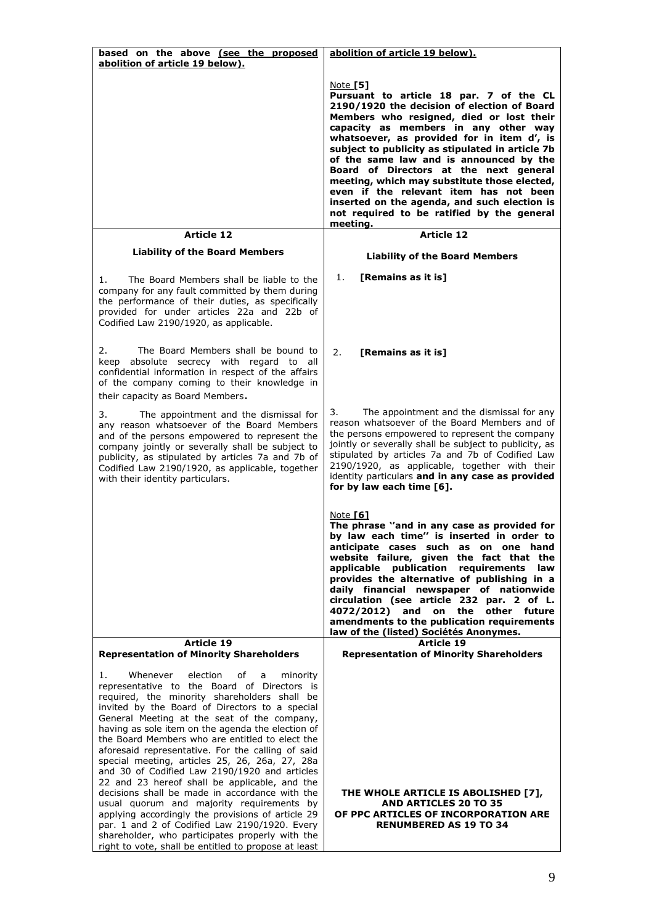| based on the above (see the proposed<br>abolition of article 19 below).                                                                                                                                                                                                                                                                                                                                                                                                                                                                                                                                                                                                                                                                                                                                                                                                            | abolition of article 19 below).                                                                                                                                                                                                                                                                                                                                                                                                                                                                                                                                                   |
|------------------------------------------------------------------------------------------------------------------------------------------------------------------------------------------------------------------------------------------------------------------------------------------------------------------------------------------------------------------------------------------------------------------------------------------------------------------------------------------------------------------------------------------------------------------------------------------------------------------------------------------------------------------------------------------------------------------------------------------------------------------------------------------------------------------------------------------------------------------------------------|-----------------------------------------------------------------------------------------------------------------------------------------------------------------------------------------------------------------------------------------------------------------------------------------------------------------------------------------------------------------------------------------------------------------------------------------------------------------------------------------------------------------------------------------------------------------------------------|
|                                                                                                                                                                                                                                                                                                                                                                                                                                                                                                                                                                                                                                                                                                                                                                                                                                                                                    | Note [5]<br>Pursuant to article 18 par. 7 of the CL<br>2190/1920 the decision of election of Board<br>Members who resigned, died or lost their<br>capacity as members in any other way<br>whatsoever, as provided for in item d', is<br>subject to publicity as stipulated in article 7b<br>of the same law and is announced by the<br>Board of Directors at the next general<br>meeting, which may substitute those elected,<br>even if the relevant item has not been<br>inserted on the agenda, and such election is<br>not required to be ratified by the general<br>meeting. |
| <b>Article 12</b><br><b>Liability of the Board Members</b>                                                                                                                                                                                                                                                                                                                                                                                                                                                                                                                                                                                                                                                                                                                                                                                                                         | <b>Article 12</b>                                                                                                                                                                                                                                                                                                                                                                                                                                                                                                                                                                 |
|                                                                                                                                                                                                                                                                                                                                                                                                                                                                                                                                                                                                                                                                                                                                                                                                                                                                                    | <b>Liability of the Board Members</b>                                                                                                                                                                                                                                                                                                                                                                                                                                                                                                                                             |
| The Board Members shall be liable to the<br>1.<br>company for any fault committed by them during<br>the performance of their duties, as specifically<br>provided for under articles 22a and 22b of<br>Codified Law 2190/1920, as applicable.                                                                                                                                                                                                                                                                                                                                                                                                                                                                                                                                                                                                                                       | 1.<br>[Remains as it is]                                                                                                                                                                                                                                                                                                                                                                                                                                                                                                                                                          |
| The Board Members shall be bound to<br>2.<br>keep absolute secrecy with regard to all<br>confidential information in respect of the affairs<br>of the company coming to their knowledge in<br>their capacity as Board Members.                                                                                                                                                                                                                                                                                                                                                                                                                                                                                                                                                                                                                                                     | 2.<br>[Remains as it is]                                                                                                                                                                                                                                                                                                                                                                                                                                                                                                                                                          |
| 3.<br>The appointment and the dismissal for<br>any reason whatsoever of the Board Members<br>and of the persons empowered to represent the<br>company jointly or severally shall be subject to<br>publicity, as stipulated by articles 7a and 7b of<br>Codified Law 2190/1920, as applicable, together<br>with their identity particulars.                                                                                                                                                                                                                                                                                                                                                                                                                                                                                                                                         | 3.<br>The appointment and the dismissal for any<br>reason whatsoever of the Board Members and of<br>the persons empowered to represent the company<br>jointly or severally shall be subject to publicity, as<br>stipulated by articles 7a and 7b of Codified Law<br>2190/1920, as applicable, together with their<br>identity particulars and in any case as provided<br>for by law each time [6].                                                                                                                                                                                |
|                                                                                                                                                                                                                                                                                                                                                                                                                                                                                                                                                                                                                                                                                                                                                                                                                                                                                    | Note <b>[6]</b><br>The phrase "and in any case as provided for<br>by law each time" is inserted in order to<br>anticipate cases such as on one hand<br>website failure, given the fact that the<br>applicable publication<br>requirements<br>law<br>provides the alternative of publishing in a<br>daily financial newspaper of nationwide<br>circulation (see article 232 par. 2 of L.<br>4072/2012) and on the<br>other future<br>amendments to the publication requirements<br>law of the (listed) Sociétés Anonymes.                                                          |
| <b>Article 19</b><br><b>Representation of Minority Shareholders</b>                                                                                                                                                                                                                                                                                                                                                                                                                                                                                                                                                                                                                                                                                                                                                                                                                | Article 19<br><b>Representation of Minority Shareholders</b>                                                                                                                                                                                                                                                                                                                                                                                                                                                                                                                      |
| 1.<br>Whenever<br>election<br>of<br>minority<br>a<br>representative to the Board of Directors is<br>required, the minority shareholders shall be<br>invited by the Board of Directors to a special<br>General Meeting at the seat of the company,<br>having as sole item on the agenda the election of<br>the Board Members who are entitled to elect the<br>aforesaid representative. For the calling of said<br>special meeting, articles 25, 26, 26a, 27, 28a<br>and 30 of Codified Law 2190/1920 and articles<br>22 and 23 hereof shall be applicable, and the<br>decisions shall be made in accordance with the<br>usual quorum and majority requirements by<br>applying accordingly the provisions of article 29<br>par. 1 and 2 of Codified Law 2190/1920. Every<br>shareholder, who participates properly with the<br>right to vote, shall be entitled to propose at least | THE WHOLE ARTICLE IS ABOLISHED [7],<br><b>AND ARTICLES 20 TO 35</b><br>OF PPC ARTICLES OF INCORPORATION ARE<br><b>RENUMBERED AS 19 TO 34</b>                                                                                                                                                                                                                                                                                                                                                                                                                                      |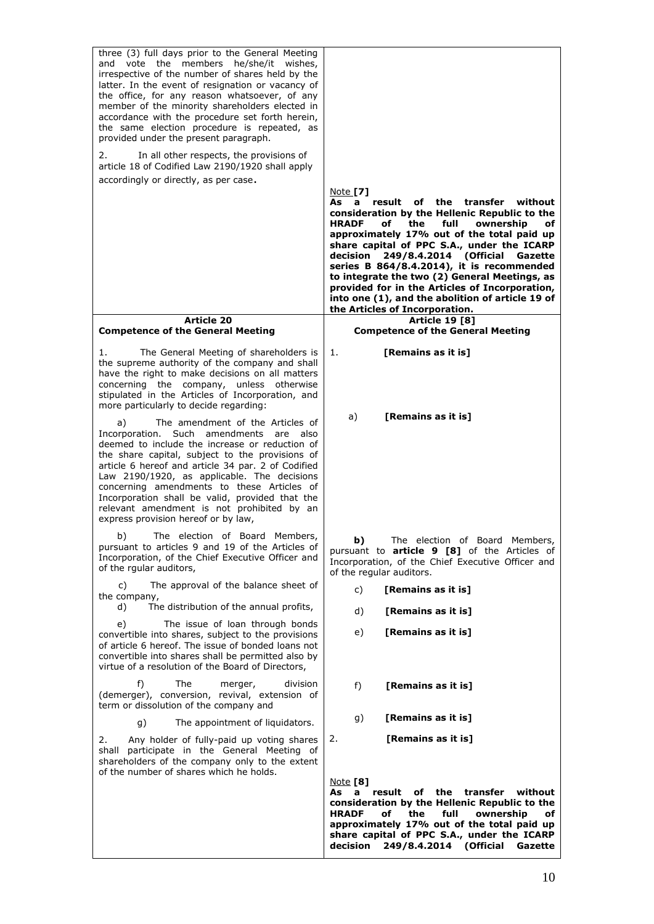| three (3) full days prior to the General Meeting<br>and vote the members he/she/it wishes,<br>irrespective of the number of shares held by the<br>latter. In the event of resignation or vacancy of<br>the office, for any reason whatsoever, of any<br>member of the minority shareholders elected in<br>accordance with the procedure set forth herein,<br>the same election procedure is repeated, as<br>provided under the present paragraph.                                    |                                                                                                                                                                                                                                                                                                                                                                                                                                                                                                                                                               |
|--------------------------------------------------------------------------------------------------------------------------------------------------------------------------------------------------------------------------------------------------------------------------------------------------------------------------------------------------------------------------------------------------------------------------------------------------------------------------------------|---------------------------------------------------------------------------------------------------------------------------------------------------------------------------------------------------------------------------------------------------------------------------------------------------------------------------------------------------------------------------------------------------------------------------------------------------------------------------------------------------------------------------------------------------------------|
| In all other respects, the provisions of<br>2.<br>article 18 of Codified Law 2190/1920 shall apply<br>accordingly or directly, as per case.                                                                                                                                                                                                                                                                                                                                          |                                                                                                                                                                                                                                                                                                                                                                                                                                                                                                                                                               |
|                                                                                                                                                                                                                                                                                                                                                                                                                                                                                      | Note [7]<br>result<br>of<br>the<br>transfer<br>without<br>As<br>a<br>consideration by the Hellenic Republic to the<br><b>HRADF</b><br>the<br>full<br>of<br>ownership<br>оf<br>approximately 17% out of the total paid up<br>share capital of PPC S.A., under the ICARP<br>249/8.4.2014 (Official<br>decision<br>Gazette<br>series B 864/8.4.2014), it is recommended<br>to integrate the two (2) General Meetings, as<br>provided for in the Articles of Incorporation,<br>into one (1), and the abolition of article 19 of<br>the Articles of Incorporation. |
| <b>Article 20</b><br><b>Competence of the General Meeting</b>                                                                                                                                                                                                                                                                                                                                                                                                                        | <b>Article 19 [8]</b><br><b>Competence of the General Meeting</b>                                                                                                                                                                                                                                                                                                                                                                                                                                                                                             |
| The General Meeting of shareholders is<br>1.<br>the supreme authority of the company and shall<br>have the right to make decisions on all matters<br>concerning the company, unless otherwise<br>stipulated in the Articles of Incorporation, and<br>more particularly to decide regarding:                                                                                                                                                                                          | [Remains as it is]<br>1.                                                                                                                                                                                                                                                                                                                                                                                                                                                                                                                                      |
| The amendment of the Articles of<br>a)<br>Incorporation.<br>Such amendments are also<br>deemed to include the increase or reduction of<br>the share capital, subject to the provisions of<br>article 6 hereof and article 34 par. 2 of Codified<br>Law 2190/1920, as applicable. The decisions<br>concerning amendments to these Articles of<br>Incorporation shall be valid, provided that the<br>relevant amendment is not prohibited by an<br>express provision hereof or by law, | [Remains as it is]<br>a)                                                                                                                                                                                                                                                                                                                                                                                                                                                                                                                                      |
| b)<br>The election of Board Members,<br>pursuant to articles 9 and 19 of the Articles of<br>Incorporation, of the Chief Executive Officer and<br>of the rqular auditors,                                                                                                                                                                                                                                                                                                             | b)<br>The election of Board Members,<br>pursuant to <b>article 9 [8]</b> of the Articles of<br>Incorporation, of the Chief Executive Officer and<br>of the regular auditors.                                                                                                                                                                                                                                                                                                                                                                                  |
| The approval of the balance sheet of<br>C)<br>the company,                                                                                                                                                                                                                                                                                                                                                                                                                           | [Remains as it is]<br>c)                                                                                                                                                                                                                                                                                                                                                                                                                                                                                                                                      |
| The distribution of the annual profits,<br>d)                                                                                                                                                                                                                                                                                                                                                                                                                                        | [Remains as it is]<br>d)                                                                                                                                                                                                                                                                                                                                                                                                                                                                                                                                      |
| The issue of loan through bonds<br>e)<br>convertible into shares, subject to the provisions<br>of article 6 hereof. The issue of bonded loans not<br>convertible into shares shall be permitted also by<br>virtue of a resolution of the Board of Directors,                                                                                                                                                                                                                         | [Remains as it is]<br>e)                                                                                                                                                                                                                                                                                                                                                                                                                                                                                                                                      |
| f)<br>The<br>division<br>merger,<br>(demerger), conversion, revival, extension of<br>term or dissolution of the company and                                                                                                                                                                                                                                                                                                                                                          | f)<br>[Remains as it is]                                                                                                                                                                                                                                                                                                                                                                                                                                                                                                                                      |
| g)<br>The appointment of liquidators.                                                                                                                                                                                                                                                                                                                                                                                                                                                | [Remains as it is]<br>g)                                                                                                                                                                                                                                                                                                                                                                                                                                                                                                                                      |
| 2.<br>Any holder of fully-paid up voting shares<br>shall participate in the General Meeting of<br>shareholders of the company only to the extent<br>of the number of shares which he holds.                                                                                                                                                                                                                                                                                          | [Remains as it is]<br>2.                                                                                                                                                                                                                                                                                                                                                                                                                                                                                                                                      |
|                                                                                                                                                                                                                                                                                                                                                                                                                                                                                      | <b>Note [8]</b><br>result<br>of the transfer<br>As a<br>without<br>consideration by the Hellenic Republic to the<br>ownership<br><b>HRADF</b><br>of<br>the<br>full<br>оf<br>approximately 17% out of the total paid up<br>share capital of PPC S.A., under the ICARP<br>decision 249/8.4.2014 (Official<br>Gazette                                                                                                                                                                                                                                            |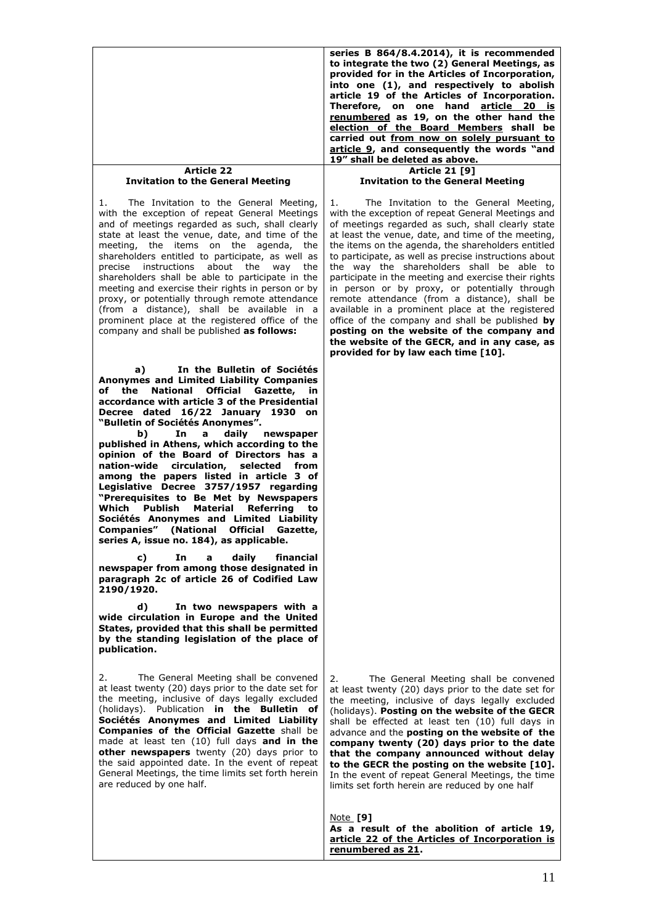|                                                                                                                                                                                                                                                                                                                                                                                                                                                                                                                                                                                                                                                                   | series B 864/8.4.2014), it is recommended<br>to integrate the two (2) General Meetings, as<br>provided for in the Articles of Incorporation,<br>into one (1), and respectively to abolish<br>article 19 of the Articles of Incorporation.<br>Therefore, on one hand article 20 is<br>renumbered as 19, on the other hand the<br>election of the Board Members shall be<br>carried out from now on solely pursuant to<br>article 9, and consequently the words "and<br>19" shall be deleted as above.                                                                                                                                                                                                                                                                          |
|-------------------------------------------------------------------------------------------------------------------------------------------------------------------------------------------------------------------------------------------------------------------------------------------------------------------------------------------------------------------------------------------------------------------------------------------------------------------------------------------------------------------------------------------------------------------------------------------------------------------------------------------------------------------|-------------------------------------------------------------------------------------------------------------------------------------------------------------------------------------------------------------------------------------------------------------------------------------------------------------------------------------------------------------------------------------------------------------------------------------------------------------------------------------------------------------------------------------------------------------------------------------------------------------------------------------------------------------------------------------------------------------------------------------------------------------------------------|
| <b>Article 22</b><br><b>Invitation to the General Meeting</b>                                                                                                                                                                                                                                                                                                                                                                                                                                                                                                                                                                                                     | <b>Article 21 [9]</b><br><b>Invitation to the General Meeting</b>                                                                                                                                                                                                                                                                                                                                                                                                                                                                                                                                                                                                                                                                                                             |
| The Invitation to the General Meeting,<br>1.<br>with the exception of repeat General Meetings<br>and of meetings regarded as such, shall clearly<br>state at least the venue, date, and time of the<br>meeting, the items on the agenda, the<br>shareholders entitled to participate, as well as<br>about the<br>instructions<br>way<br>the<br>precise<br>shareholders shall be able to participate in the<br>meeting and exercise their rights in person or by<br>proxy, or potentially through remote attendance<br>(from a distance), shall be available in a<br>prominent place at the registered office of the<br>company and shall be published as follows: | 1.<br>The Invitation to the General Meeting,<br>with the exception of repeat General Meetings and<br>of meetings regarded as such, shall clearly state<br>at least the venue, date, and time of the meeting,<br>the items on the agenda, the shareholders entitled<br>to participate, as well as precise instructions about<br>the way the shareholders shall be able to<br>participate in the meeting and exercise their rights<br>in person or by proxy, or potentially through<br>remote attendance (from a distance), shall be<br>available in a prominent place at the registered<br>office of the company and shall be published by<br>posting on the website of the company and<br>the website of the GECR, and in any case, as<br>provided for by law each time [10]. |
| In the Bulletin of Sociétés<br>a)<br>Anonymes and Limited Liability Companies<br><b>National</b><br><b>Official Gazette,</b><br>of the<br>in<br>accordance with article 3 of the Presidential<br>Decree dated 16/22 January 1930 on                                                                                                                                                                                                                                                                                                                                                                                                                               |                                                                                                                                                                                                                                                                                                                                                                                                                                                                                                                                                                                                                                                                                                                                                                               |
| "Bulletin of Sociétés Anonymes".<br>daily<br>In<br>newspaper<br>b)<br>a<br>published in Athens, which according to the<br>opinion of the Board of Directors has a<br>nation-wide<br>circulation,<br>selected<br>from<br>among the papers listed in article 3 of<br>Legislative Decree 3757/1957 regarding<br>"Prerequisites to Be Met by Newspapers<br>Which<br><b>Publish</b><br>Material<br>Referring<br>to<br>Sociétés Anonymes and Limited Liability<br>Companies" (National Official Gazette,<br>series A, issue no. 184), as applicable.                                                                                                                    |                                                                                                                                                                                                                                                                                                                                                                                                                                                                                                                                                                                                                                                                                                                                                                               |
| daily<br>financial<br>c)<br>In<br>a<br>newspaper from among those designated in<br>paragraph 2c of article 26 of Codified Law<br>2190/1920.                                                                                                                                                                                                                                                                                                                                                                                                                                                                                                                       |                                                                                                                                                                                                                                                                                                                                                                                                                                                                                                                                                                                                                                                                                                                                                                               |
| d)<br>In two newspapers with a<br>wide circulation in Europe and the United<br>States, provided that this shall be permitted<br>by the standing legislation of the place of<br>publication.                                                                                                                                                                                                                                                                                                                                                                                                                                                                       |                                                                                                                                                                                                                                                                                                                                                                                                                                                                                                                                                                                                                                                                                                                                                                               |
| The General Meeting shall be convened<br>2.<br>at least twenty (20) days prior to the date set for<br>the meeting, inclusive of days legally excluded<br>(holidays). Publication in the Bulletin of<br>Sociétés Anonymes and Limited Liability<br>Companies of the Official Gazette shall be<br>made at least ten (10) full days and in the<br>other newspapers twenty (20) days prior to<br>the said appointed date. In the event of repeat<br>General Meetings, the time limits set forth herein<br>are reduced by one half.                                                                                                                                    | The General Meeting shall be convened<br>2.<br>at least twenty (20) days prior to the date set for<br>the meeting, inclusive of days legally excluded<br>(holidays). Posting on the website of the GECR<br>shall be effected at least ten (10) full days in<br>advance and the posting on the website of the<br>company twenty (20) days prior to the date<br>that the company announced without delay<br>to the GECR the posting on the website [10].<br>In the event of repeat General Meetings, the time<br>limits set forth herein are reduced by one half                                                                                                                                                                                                                |
|                                                                                                                                                                                                                                                                                                                                                                                                                                                                                                                                                                                                                                                                   | Note [9]<br>As a result of the abolition of article 19,<br>article 22 of the Articles of Incorporation is<br>renumbered as 21.                                                                                                                                                                                                                                                                                                                                                                                                                                                                                                                                                                                                                                                |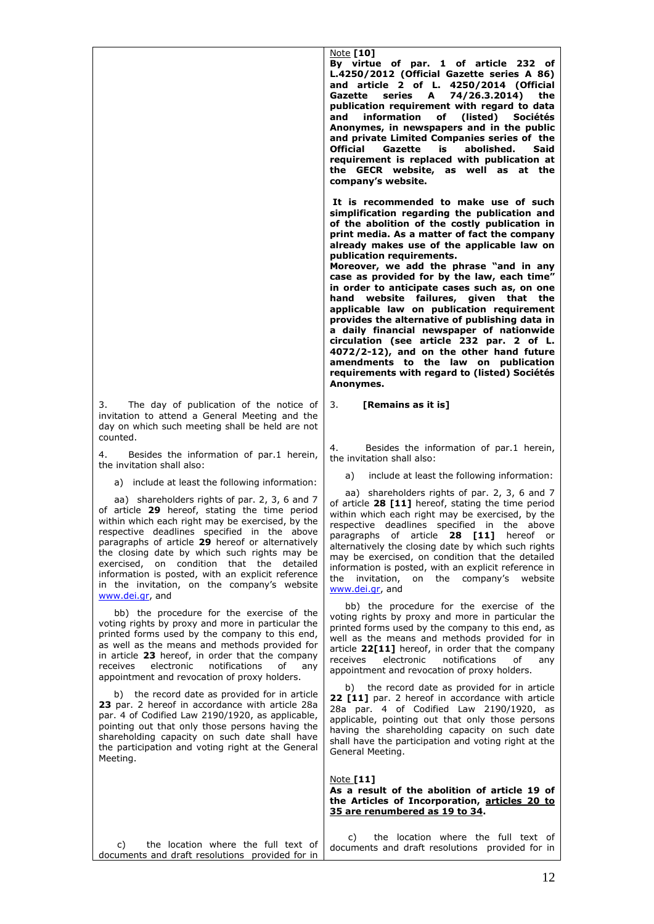|          |  | 3. The day of publication of the notice of      |  |  |
|----------|--|-------------------------------------------------|--|--|
|          |  | invitation to attend a General Meeting and the  |  |  |
|          |  | day on which such meeting shall be held are not |  |  |
| counted. |  |                                                 |  |  |

4. Besides the information of par.1 herein, the invitation shall also:

a) include at least the following information:

 aa) shareholders rights of par. 2, 3, 6 and 7 of article **29** hereof, stating the time period within which each right may be exercised, by the respective deadlines specified in the above paragraphs of article **29** hereof or alternatively the closing date by which such rights may be exercised, on condition that the detailed information is posted, with an explicit reference in the invitation, on the company's website [www.dei.gr,](http://www.dei.gr/) and

 bb) the procedure for the exercise of the voting rights by proxy and more in particular the printed forms used by the company to this end, as well as the means and methods provided for in article **23** hereof, in order that the company receives electronic notifications of any appointment and revocation of proxy holders.

 b) the record date as provided for in article **23** par. 2 hereof in accordance with article 28a par. 4 of Codified Law 2190/1920, as applicable, pointing out that only those persons having the shareholding capacity on such date shall have the participation and voting right at the General Meeting.

**By virtue of par. 1 of article 232 of L.4250/2012 (Official Gazette series A 86) and article 2 of L. 4250/2014 (Official Gazette series A 74/26.3.2014) the publication requirement with regard to data and information of (listed) Sociétés Anonymes, in newspapers and in the public and private Limited Companies series of the Official Gazette is abolished. requirement is replaced with publication at the GECR website, as well as at the company's website.** 

**It is recommended to make use of such simplification regarding the publication and of the abolition of the costly publication in print media. As a matter of fact the company already makes use of the applicable law on publication requirements.** 

**Moreover, we add the phrase "and in any case as provided for by the law, each time" in order to anticipate cases such as, on one hand website failures, given that the applicable law on publication requirement provides the alternative of publishing data in a daily financial newspaper of nationwide circulation (see article 232 par. 2 of L. 4072/2-12), and on the other hand future amendments to the law on publication requirements with regard to (listed) Sociétés Anonymes.**

#### 3. **[Remains as it is]**

4. Besides the information of par.1 herein, the invitation shall also:

a) include at least the following information:

 aa) shareholders rights of par. 2, 3, 6 and 7 of article **28 [11]** hereof, stating the time period within which each right may be exercised, by the respective deadlines specified in the above paragraphs of article **28 [11]** hereof or alternatively the closing date by which such rights may be exercised, on condition that the detailed information is posted, with an explicit reference in the invitation, on the company's website [www.dei.gr,](http://www.dei.gr/) and

 bb) the procedure for the exercise of the voting rights by proxy and more in particular the printed forms used by the company to this end, as well as the means and methods provided for in article **22[11]** hereof, in order that the company receives electronic notifications of any appointment and revocation of proxy holders.

 b) the record date as provided for in article **22 [11]** par. 2 hereof in accordance with article 28a par. 4 of Codified Law 2190/1920, as applicable, pointing out that only those persons having the shareholding capacity on such date shall have the participation and voting right at the General Meeting.

#### Note **[11] As a result of the abolition of article 19 of the Articles of Incorporation, articles 20 to 35 are renumbered as 19 to 34.**

 c) the location where the full text of documents and draft resolutions provided for in c) the location where the full text of documents and draft resolutions provided for in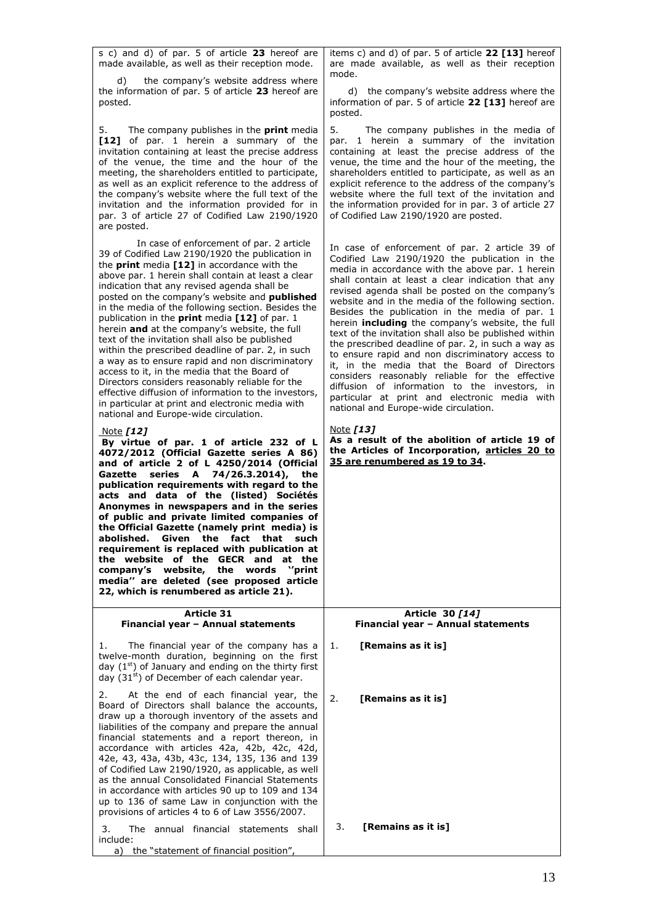s c) and d) of par. 5 of article **23** hereof are made available, as well as their reception mode.

 d) the company's website address where the information of par. 5 of article **23** hereof are posted.

5. The company publishes in the **print** media **[12]** of par. 1 herein a summary of the invitation containing at least the precise address of the venue, the time and the hour of the meeting, the shareholders entitled to participate, as well as an explicit reference to the address of the company's website where the full text of the invitation and the information provided for in par. 3 of article 27 of Codified Law 2190/1920 are posted.

In case of enforcement of par. 2 article 39 of Codified Law 2190/1920 the publication in the **print** media **[12]** in accordance with the above par. 1 herein shall contain at least a clear indication that any revised agenda shall be posted on the company's website and **published**  in the media of the following section. Besides the publication in the **print** media **[12]** of par. 1 herein **and** at the company's website, the full text of the invitation shall also be published within the prescribed deadline of par. 2, in such a way as to ensure rapid and non discriminatory access to it, in the media that the Board of Directors considers reasonably reliable for the effective diffusion of information to the investors, in particular at print and electronic media with national and Europe-wide circulation.

### Note *[12]*

**By virtue of par. 1 of article 232 of L 4072/2012 (Official Gazette series A 86) and of article 2 of L 4250/2014 (Official Gazette series A 74/26.3.2014), the publication requirements with regard to the acts and data of the (listed) Sociétés Anonymes in newspapers and in the series of public and private limited companies of the Official Gazette (namely print media) is abolished. Given the fact that such requirement is replaced with publication at the website of the GECR and at the company's website, the words ''print media'' are deleted (see proposed article 22, which is renumbered as article 21).**

items c) and d) of par. 5 of article **22 [13]** hereof are made available, as well as their reception mode.

 d) the company's website address where the information of par. 5 of article **22 [13]** hereof are posted.

5. The company publishes in the media of par. 1 herein a summary of the invitation containing at least the precise address of the venue, the time and the hour of the meeting, the shareholders entitled to participate, as well as an explicit reference to the address of the company's website where the full text of the invitation and the information provided for in par. 3 of article 27 of Codified Law 2190/1920 are posted.

In case of enforcement of par. 2 article 39 of Codified Law 2190/1920 the publication in the media in accordance with the above par. 1 herein shall contain at least a clear indication that any revised agenda shall be posted on the company's website and in the media of the following section. Besides the publication in the media of par. 1 herein **including** the company's website, the full text of the invitation shall also be published within the prescribed deadline of par. 2, in such a way as to ensure rapid and non discriminatory access to it, in the media that the Board of Directors considers reasonably reliable for the effective diffusion of information to the investors, in particular at print and electronic media with national and Europe-wide circulation.

#### Note *[13]*

**As a result of the abolition of article 19 of the Articles of Incorporation, articles 20 to 35 are renumbered as 19 to 34.**

> **Article 30** *[14]* **Financial year – Annual statements**

1. The financial year of the company has a twelve-month duration, beginning on the first day  $(1<sup>st</sup>)$  of January and ending on the thirty first day  $(31<sup>st</sup>)$  of December of each calendar year. 1. **[Remains as it is]**

**Article 31 Financial year – Annual statements**

2. At the end of each financial year, the Board of Directors shall balance the accounts, draw up a thorough inventory of the assets and liabilities of the company and prepare the annual financial statements and a report thereon, in accordance with articles 42a, 42b, 42c, 42d, 42e, 43, 43a, 43b, 43c, 134, 135, 136 and 139 of Codified Law 2190/1920, as applicable, as well as the annual Consolidated Financial Statements in accordance with articles 90 up to 109 and 134 up to 136 of same Law in conjunction with the provisions of articles 4 to 6 of Law 3556/2007. 3. The annual financial statements shall

include: a) the "statement of financial position", 2. **[Remains as it is]**

3. **[Remains as it is]**

13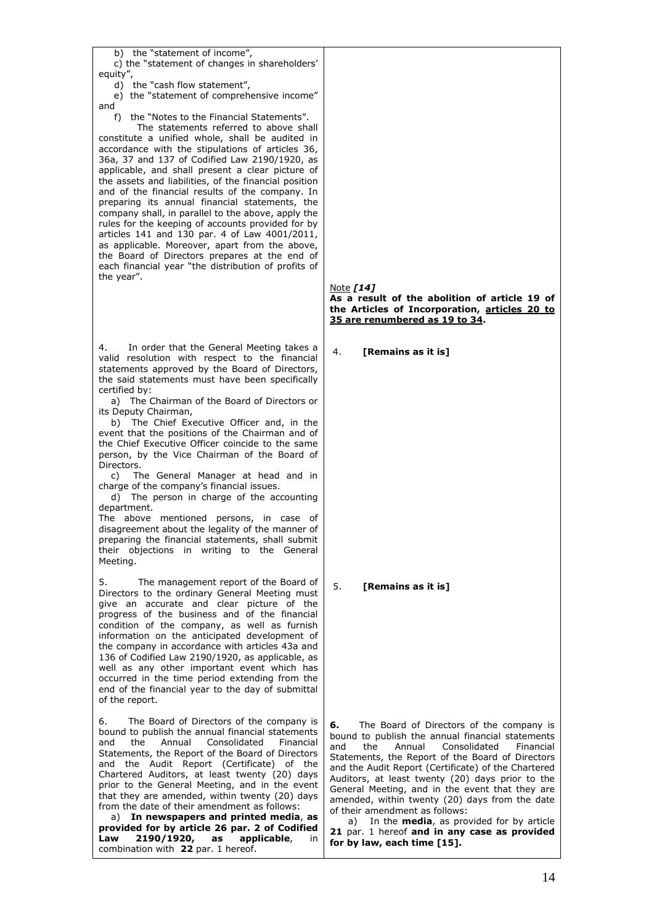| b) the "statement of income",<br>c) the "statement of changes in shareholders'<br>equity",<br>d) the "cash flow statement",<br>e) the "statement of comprehensive income"<br>and<br>f) the "Notes to the Financial Statements".<br>The statements referred to above shall<br>constitute a unified whole, shall be audited in<br>accordance with the stipulations of articles 36,<br>36a, 37 and 137 of Codified Law 2190/1920, as<br>applicable, and shall present a clear picture of<br>the assets and liabilities, of the financial position<br>and of the financial results of the company. In<br>preparing its annual financial statements, the<br>company shall, in parallel to the above, apply the<br>rules for the keeping of accounts provided for by<br>articles 141 and 130 par. 4 of Law 4001/2011,<br>as applicable. Moreover, apart from the above,<br>the Board of Directors prepares at the end of<br>each financial year "the distribution of profits of<br>the year". | Note [14]<br>As a result of the abolition of article 19 of<br>the Articles of Incorporation, articles 20 to<br>35 are renumbered as 19 to 34.                                                                                                                                                                                                                                                                                                                                                                                                                                                          |
|-----------------------------------------------------------------------------------------------------------------------------------------------------------------------------------------------------------------------------------------------------------------------------------------------------------------------------------------------------------------------------------------------------------------------------------------------------------------------------------------------------------------------------------------------------------------------------------------------------------------------------------------------------------------------------------------------------------------------------------------------------------------------------------------------------------------------------------------------------------------------------------------------------------------------------------------------------------------------------------------|--------------------------------------------------------------------------------------------------------------------------------------------------------------------------------------------------------------------------------------------------------------------------------------------------------------------------------------------------------------------------------------------------------------------------------------------------------------------------------------------------------------------------------------------------------------------------------------------------------|
| In order that the General Meeting takes a<br>4.<br>valid resolution with respect to the financial<br>statements approved by the Board of Directors,<br>the said statements must have been specifically<br>certified by:<br>a) The Chairman of the Board of Directors or<br>its Deputy Chairman,<br>b) The Chief Executive Officer and, in the<br>event that the positions of the Chairman and of<br>the Chief Executive Officer coincide to the same<br>person, by the Vice Chairman of the Board of<br>Directors.<br>The General Manager at head and in<br>C)<br>charge of the company's financial issues.<br>The person in charge of the accounting<br>d)<br>department.<br>The above mentioned persons, in case of<br>disagreement about the legality of the manner of<br>preparing the financial statements, shall submit<br>their objections in writing to the General<br>Meeting.                                                                                                 | 4.<br>[Remains as it is]                                                                                                                                                                                                                                                                                                                                                                                                                                                                                                                                                                               |
| 5.<br>The management report of the Board of<br>Directors to the ordinary General Meeting must<br>give an accurate and clear picture of the<br>progress of the business and of the financial<br>condition of the company, as well as furnish<br>information on the anticipated development of<br>the company in accordance with articles 43a and<br>136 of Codified Law 2190/1920, as applicable, as<br>well as any other important event which has<br>occurred in the time period extending from the<br>end of the financial year to the day of submittal<br>of the report.                                                                                                                                                                                                                                                                                                                                                                                                             | 5.<br>[Remains as it is]                                                                                                                                                                                                                                                                                                                                                                                                                                                                                                                                                                               |
| 6.<br>The Board of Directors of the company is<br>bound to publish the annual financial statements<br>Annual<br>Consolidated<br>Financial<br>and<br>the<br>Statements, the Report of the Board of Directors<br>and the Audit Report (Certificate) of the<br>Chartered Auditors, at least twenty (20) days<br>prior to the General Meeting, and in the event<br>that they are amended, within twenty (20) days<br>from the date of their amendment as follows:<br>a) In newspapers and printed media, as<br>provided for by article 26 par. 2 of Codified<br>Law<br>2190/1920,<br>applicable,<br>as<br>in<br>combination with 22 par. 1 hereof.                                                                                                                                                                                                                                                                                                                                          | 6.<br>The Board of Directors of the company is<br>bound to publish the annual financial statements<br>and<br>the<br>Annual<br>Consolidated<br>Financial<br>Statements, the Report of the Board of Directors<br>and the Audit Report (Certificate) of the Chartered<br>Auditors, at least twenty (20) days prior to the<br>General Meeting, and in the event that they are<br>amended, within twenty (20) days from the date<br>of their amendment as follows:<br>In the <b>media</b> , as provided for by article<br>a)<br>21 par. 1 hereof and in any case as provided<br>for by law, each time [15]. |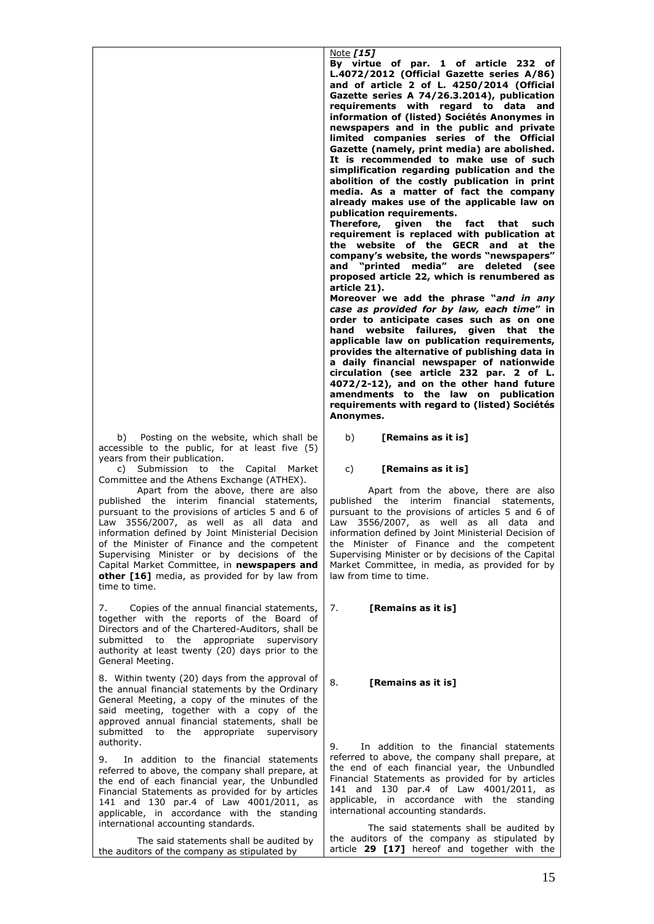b) Posting on the website, which shall be accessible to the public, for at least five (5) years from their publication.

 c) Submission to the Capital Market Committee and the Athens Exchange (ATHEX).

Apart from the above, there are also published the interim financial statements, pursuant to the provisions of articles 5 and 6 of Law 3556/2007, as well as all data and information defined by Joint Ministerial Decision of the Minister of Finance and the competent Supervising Minister or by decisions of the Capital Market Committee, in **newspapers and other [16]** media, as provided for by law from time to time.

7. Copies of the annual financial statements, together with the reports of the Board of Directors and of the Chartered-Auditors, shall be submitted to the appropriate supervisory authority at least twenty (20) days prior to the General Meeting.

8. Within twenty (20) days from the approval of the annual financial statements by the Ordinary General Meeting, a copy of the minutes of the said meeting, together with a copy of the approved annual financial statements, shall be submitted to the appropriate supervisory authority.

9. In addition to the financial statements referred to above, the company shall prepare, at the end of each financial year, the Unbundled Financial Statements as provided for by articles 141 and 130 par.4 of Law 4001/2011, as applicable, in accordance with the standing international accounting standards.

The said statements shall be audited by the auditors of the company as stipulated by

Note *[15]* **By virtue of par. 1 of article 232 of L.4072/2012 (Official Gazette series A/86) and of article 2 of L. 4250/2014 (Official Gazette series A 74/26.3.2014), publication requirements with regard to data and information of (listed) Sociétés Anonymes in newspapers and in the public and private limited companies series of the Official Gazette (namely, print media) are abolished. It is recommended to make use of such simplification regarding publication and the abolition of the costly publication in print media. As a matter of fact the company already makes use of the applicable law on publication requirements.** 

**Therefore, given the fact that such requirement is replaced with publication at the website of the GECR and at the company's website, the words "newspapers" and "printed media" are deleted (see proposed article 22, which is renumbered as article 21).**

**Moreover we add the phrase "***and in any case as provided for by law, each time***" in order to anticipate cases such as on one hand website failures, given that the applicable law on publication requirements, provides the alternative of publishing data in a daily financial newspaper of nationwide circulation (see article 232 par. 2 of L. 4072/2-12), and on the other hand future amendments to the law on publication requirements with regard to (listed) Sociétés Anonymes.**

b) **[Remains as it is]**

### c) **[Remains as it is]**

Apart from the above, there are also published the interim financial statements, pursuant to the provisions of articles 5 and 6 of Law 3556/2007, as well as all data and information defined by Joint Ministerial Decision of the Minister of Finance and the competent Supervising Minister or by decisions of the Capital Market Committee, in media, as provided for by law from time to time.

### 7. **[Remains as it is]**

#### 8. **[Remains as it is]**

9. In addition to the financial statements referred to above, the company shall prepare, at the end of each financial year, the Unbundled Financial Statements as provided for by articles 141 and 130 par.4 of Law 4001/2011, as applicable, in accordance with the standing international accounting standards.

The said statements shall be audited by the auditors of the company as stipulated by article **29 [17]** hereof and together with the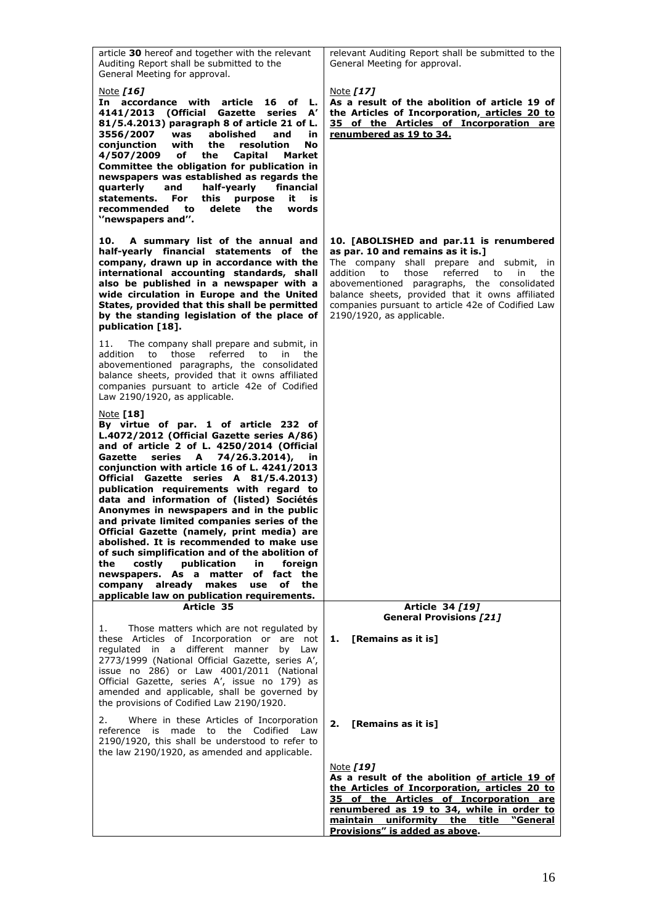| article 30 hereof and together with the relevant<br>Auditing Report shall be submitted to the<br>General Meeting for approval.                                                                                                                                                                                                                                                                                                                                                                                                                                                                                                                                                                                                                                                                              | relevant Auditing Report shall be submitted to the<br>General Meeting for approval.                                                                                                                                                                                                                                                                                     |
|-------------------------------------------------------------------------------------------------------------------------------------------------------------------------------------------------------------------------------------------------------------------------------------------------------------------------------------------------------------------------------------------------------------------------------------------------------------------------------------------------------------------------------------------------------------------------------------------------------------------------------------------------------------------------------------------------------------------------------------------------------------------------------------------------------------|-------------------------------------------------------------------------------------------------------------------------------------------------------------------------------------------------------------------------------------------------------------------------------------------------------------------------------------------------------------------------|
| Note [16]<br>In accordance with<br>article<br>16 of L.<br>4141/2013<br>(Official Gazette series<br>${\bf A}'$<br>81/5.4.2013) paragraph 8 of article 21 of L.<br>abolished<br>3556/2007 was<br>and<br>in<br>conjunction<br>with<br>the<br>resolution<br>No<br>4/507/2009 of<br>the<br>Capital<br>Market<br>Committee the obligation for publication in<br>newspapers was established as regards the<br>and<br>half-yearly<br>financial<br>quarterly<br>For<br>statements.<br>this<br>purpose<br>it<br>is<br>recommended<br>to<br>delete<br>the<br>words<br>"newspapers and".                                                                                                                                                                                                                                | Note [17]<br>As a result of the abolition of article 19 of<br>the Articles of Incorporation, articles 20 to<br>35 of the Articles of Incorporation are<br>renumbered as 19 to 34.                                                                                                                                                                                       |
| A summary list of the annual and<br>10.<br>half-yearly financial statements of the<br>company, drawn up in accordance with the<br>international accounting standards, shall<br>also be published in a newspaper with a<br>wide circulation in Europe and the United<br>States, provided that this shall be permitted<br>by the standing legislation of the place of<br>publication [18].                                                                                                                                                                                                                                                                                                                                                                                                                    | 10. [ABOLISHED and par.11 is renumbered<br>as par. 10 and remains as it is.]<br>The company shall prepare and submit, in<br>referred<br>to<br>addition<br>to<br>those<br>in<br>the<br>abovementioned paragraphs, the consolidated<br>balance sheets, provided that it owns affiliated<br>companies pursuant to article 42e of Codified Law<br>2190/1920, as applicable. |
| The company shall prepare and submit, in<br>11.<br>those<br>referred<br>to<br>to<br>in<br>the<br>addition<br>abovementioned paragraphs, the consolidated<br>balance sheets, provided that it owns affiliated<br>companies pursuant to article 42e of Codified<br>Law 2190/1920, as applicable.                                                                                                                                                                                                                                                                                                                                                                                                                                                                                                              |                                                                                                                                                                                                                                                                                                                                                                         |
| <u>Note</u> [18]<br>By virtue of par. 1 of article 232 of<br>L.4072/2012 (Official Gazette series A/86)<br>and of article 2 of L. 4250/2014 (Official<br>74/26.3.2014),<br>Gazette<br>series A<br>in<br>conjunction with article 16 of L. 4241/2013<br>Official Gazette series A 81/5.4.2013)<br>publication requirements with regard to<br>data and information of (listed) Sociétés<br>Anonymes in newspapers and in the public<br>and private limited companies series of the<br>Official Gazette (namely, print media) are<br>abolished. It is recommended to make use<br>of such simplification and of the abolition of<br>publication<br>the<br>costly<br>foreign<br>in.<br>newspapers. As a matter of fact the<br>company already makes use of<br>the<br>applicable law on publication requirements. |                                                                                                                                                                                                                                                                                                                                                                         |
| Article 35                                                                                                                                                                                                                                                                                                                                                                                                                                                                                                                                                                                                                                                                                                                                                                                                  | Article 34 [19]<br><b>General Provisions [21]</b>                                                                                                                                                                                                                                                                                                                       |
| Those matters which are not regulated by<br>1.<br>these Articles of Incorporation or are not<br>regulated in a different manner<br>by Law<br>2773/1999 (National Official Gazette, series A',<br>issue no 286) or Law 4001/2011 (National<br>Official Gazette, series A', issue no 179) as<br>amended and applicable, shall be governed by<br>the provisions of Codified Law 2190/1920.                                                                                                                                                                                                                                                                                                                                                                                                                     | [Remains as it is]<br>1.                                                                                                                                                                                                                                                                                                                                                |
| Where in these Articles of Incorporation<br>2.<br>reference is made to the Codified Law<br>2190/1920, this shall be understood to refer to<br>the law 2190/1920, as amended and applicable.                                                                                                                                                                                                                                                                                                                                                                                                                                                                                                                                                                                                                 | [Remains as it is]<br>2.                                                                                                                                                                                                                                                                                                                                                |
|                                                                                                                                                                                                                                                                                                                                                                                                                                                                                                                                                                                                                                                                                                                                                                                                             | Note [19]<br>As a result of the abolition of article 19 of<br>the Articles of Incorporation, articles 20 to<br>35 of the Articles of Incorporation are<br>renumbered as 19 to 34, while in order to<br>maintain uniformity the title "General<br>Provisions" is added as above.                                                                                         |